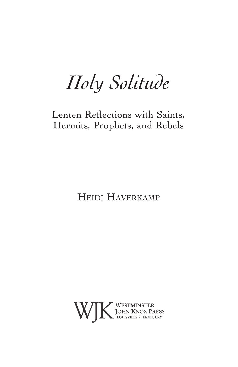# *Holy Solitude*

# Lenten Reflections with Saints, Hermits, Prophets, and Rebels

Heidi Haverkamp

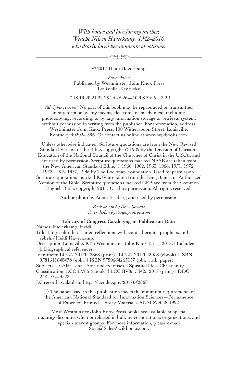*With honor and love for my mother, Wenche Nilsen Haverkamp, 1942–2016, who dearly loved her moments of solitude.*

ത്ത-

© 2017 Heidi Haverkamp

*First edition* Published by Westminster John Knox Press Louisville, Kentucky

17 18 19 20 21 22 23 24 25 26—10 9 8 7 6 5 4 3 2 1

*All rights reserved*. No part of this book may be reproduced or transmitted in any form or by any means, electronic or mechanical, including photocopying, recording, or by any information storage or retrieval system, without permission in writing from the publisher. For information, address Westminster John Knox Press, 100 Witherspoon Street, Louisville, Kentucky 40202-1396. Or contact us online at www.wjkbooks.com.

Unless otherwise indicated, Scripture quotations are from the New Revised Standard Version of the Bible, copyright © 1989 by the Division of Christian Education of the National Council of the Churches of Christ in the U.S.A., and are used by permission. Scripture quotations marked NASB are taken from the New American Standard Bible, © 1960, 1962, 1963, 1968, 1971, 1972, 1973, 1975, 1977, 1995 by The Lockman Foundation. Used by permission. Scripture quotations marked KJV are taken from the King James or Authorized Version of the Bible. Scripture quotations marked CEB are from the Common English Bible, copyright 2011. Used by permission. All rights reserved.

Author photo by Adam Frieberg and used by permission.

*Book design by Drew Stevens Cover design by designpointinc.com*

**Library of Congress Cataloging-in-Publication Data** Names: Haverkamp, Heidi.

Title: Holy solitude : Lenten reflections with saints, hermits, prophets, and rebels / Heidi Haverkamp.

Description: Louisville, KY : Westminster John Knox Press, 2017. | Includes bibliographical references. |

Identifiers: LCCN 2017042868 (print) | LCCN 2017043078 (ebook) | ISBN 9781611648478 (ebk.) | ISBN 9780664263157 (pbk. : alk. paper)

Subjects: LCSH: Lent. | Spiritual exercises. | Spiritual life—Christianity.

Classification: LCC BV85 (ebook) | LCC BV85 .H425 2017 (print) | DDC 248.4/7—dc23

LC record available at https://lccn.loc.gov/2017042868

 The paper used in this publication meets the minimum requirements of the American National Standard for Information Sciences—Permanence of Paper for Printed Library Materials, ANSI Z39.48-1992.

Most Westminster John Knox Press books are available at special quantity discounts when purchased in bulk by corporations, organizations, and special-interest groups. For more information, please e-mail SpecialSales@wjkbooks.com.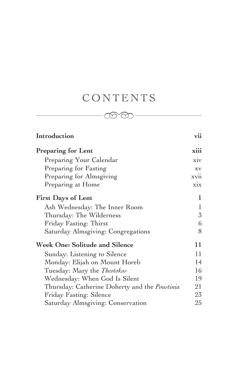# CONTENTS

 $\begin{picture}(20,20) \put(0,0){\line(1,0){0.5}} \put(15,0){\line(1,0){0.5}} \put(15,0){\line(1,0){0.5}} \put(15,0){\line(1,0){0.5}} \put(15,0){\line(1,0){0.5}} \put(15,0){\line(1,0){0.5}} \put(15,0){\line(1,0){0.5}} \put(15,0){\line(1,0){0.5}} \put(15,0){\line(1,0){0.5}} \put(15,0){\line(1,0){0.5}} \put(15,0){\line(1,0){0.5}} \$ 

| Introduction                                         | vii                        |
|------------------------------------------------------|----------------------------|
| <b>Preparing for Lent</b>                            | xiii                       |
| Preparing Your Calendar                              | xiv                        |
| Preparing for Fasting                                | XV                         |
| Preparing for Almsgiving                             | xvii                       |
| Preparing at Home                                    | $\dot{\text{x} \text{ix}}$ |
| <b>First Days of Lent</b>                            | 1                          |
| Ash Wednesday: The Inner Room                        | 1                          |
| Thursday: The Wilderness                             | 3                          |
| Friday Fasting: Thirst                               | 6                          |
| Saturday Almsgiving: Congregations                   | 8                          |
| <b>Week One: Solitude and Silence</b>                | 11                         |
| Sunday: Listening to Silence                         | 11                         |
| Monday: Elijah on Mount Horeb                        | 14                         |
| Tuesday: Mary the Theotokos                          | 16                         |
| Wednesday: When God Is Silent                        | 19                         |
| Thursday: Catherine Doherty and the <i>Poustinia</i> | 21                         |
| Friday Fasting: Silence                              | 23                         |
| Saturday Almsgiving: Conservation                    | 25                         |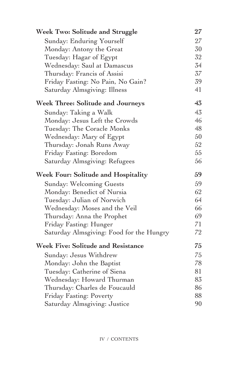| <b>Week Two: Solitude and Struggle</b>    | 27 |
|-------------------------------------------|----|
| Sunday: Enduring Yourself                 | 27 |
| Monday: Antony the Great                  | 30 |
| Tuesday: Hagar of Egypt                   | 32 |
| Wednesday: Saul at Damascus               | 34 |
| Thursday: Francis of Assisi               | 37 |
| Friday Fasting: No Pain, No Gain?         | 39 |
| Saturday Almsgiving: Illness              | 41 |
| Week Three: Solitude and Journeys         | 43 |
| Sunday: Taking a Walk                     | 43 |
| Monday: Jesus Left the Crowds             | 46 |
| Tuesday: The Coracle Monks                | 48 |
| Wednesday: Mary of Egypt                  | 50 |
| Thursday: Jonah Runs Away                 | 52 |
| Friday Fasting: Boredom                   | 55 |
| Saturday Almsgiving: Refugees             | 56 |
| Week Four: Solitude and Hospitality       | 59 |
| Sunday: Welcoming Guests                  | 59 |
| Monday: Benedict of Nursia                | 62 |
| Tuesday: Julian of Norwich                | 64 |
| Wednesday: Moses and the Veil             | 66 |
| Thursday: Anna the Prophet                | 69 |
| Friday Fasting: Hunger                    | 71 |
| Saturday Almsgiving: Food for the Hungry  | 72 |
| <b>Week Five: Solitude and Resistance</b> | 75 |
| Sunday: Jesus Withdrew                    | 75 |
| Monday: John the Baptist                  | 78 |
| Tuesday: Catherine of Siena               | 81 |
| Wednesday: Howard Thurman                 | 83 |
| Thursday: Charles de Foucauld             | 86 |
| Friday Fasting: Poverty                   | 88 |
| Saturday Almsgiving: Justice              | 90 |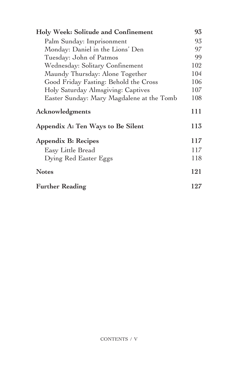| Holy Week: Solitude and Confinement       | 93  |
|-------------------------------------------|-----|
| Palm Sunday: Imprisonment                 | 93  |
| Monday: Daniel in the Lions' Den          | 97  |
| Tuesday: John of Patmos                   | 99  |
| Wednesday: Solitary Confinement           | 102 |
| Maundy Thursday: Alone Together           | 104 |
| Good Friday Fasting: Behold the Cross     | 106 |
| Holy Saturday Almsgiving: Captives        | 107 |
| Easter Sunday: Mary Magdalene at the Tomb | 108 |
| Acknowledgments                           | 111 |
| Appendix A: Ten Ways to Be Silent         | 113 |
| <b>Appendix B: Recipes</b>                | 117 |
| Easy Little Bread                         | 117 |
| Dying Red Easter Eggs                     | 118 |
| <b>Notes</b>                              | 121 |
| <b>Further Reading</b>                    | 127 |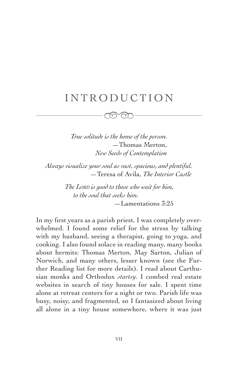# INTRODUCTION

*True solitude is the home of the person.* —Thomas Merton, *New Seeds of Contemplation*

*Always visualize your soul as vast, spacious, and plentiful.* —Teresa of Avila, *The Interior Castle*

> *The Lord is good to those who wait for him, to the soul that seeks him.*  $\overline{-}$ Lamentations 3:25

In my first years as a parish priest, I was completely overwhelmed. I found some relief for the stress by talking with my husband, seeing a therapist, going to yoga, and cooking. I also found solace in reading many, many books about hermits: Thomas Merton, May Sarton, Julian of Norwich, and many others, lesser known (see the Further Reading list for more details). I read about Carthusian monks and Orthodox *startsy*. I combed real estate websites in search of tiny houses for sale. I spent time alone at retreat centers for a night or two. Parish life was busy, noisy, and fragmented, so I fantasized about living all alone in a tiny house somewhere, where it was just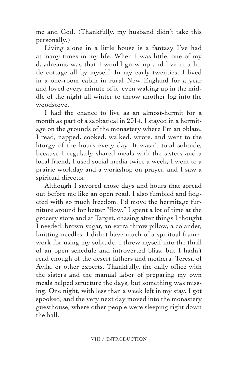me and God. (Thankfully, my husband didn't take this personally.)

Living alone in a little house is a fantasy I've had at many times in my life. When I was little, one of my daydreams was that I would grow up and live in a little cottage all by myself. In my early twenties, I lived in a one-room cabin in rural New England for a year and loved every minute of it, even waking up in the middle of the night all winter to throw another log into the woodstove.

I had the chance to live as an almost-hermit for a month as part of a sabbatical in 2014. I stayed in a hermitage on the grounds of the monastery where I'm an oblate. I read, napped, cooked, walked, wrote, and went to the liturgy of the hours every day. It wasn't total solitude, because I regularly shared meals with the sisters and a local friend, I used social media twice a week, I went to a prairie workday and a workshop on prayer, and I saw a spiritual director.

Although I savored those days and hours that spread out before me like an open road, I also fumbled and fidgeted with so much freedom. I'd move the hermitage furniture around for better "flow." I spent a lot of time at the grocery store and at Target, chasing after things I thought I needed: brown sugar, an extra throw pillow, a colander, knitting needles. I didn't have much of a spiritual framework for using my solitude. I threw myself into the thrill of an open schedule and introverted bliss, but I hadn't read enough of the desert fathers and mothers, Teresa of Avila, or other experts. Thankfully, the daily office with the sisters and the manual labor of preparing my own meals helped structure the days, but something was missing. One night, with less than a week left in my stay, I got spooked, and the very next day moved into the monastery guesthouse, where other people were sleeping right down the hall.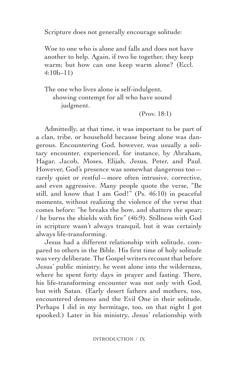Scripture does not generally encourage solitude:

Woe to one who is alone and falls and does not have another to help. Again, if two lie together, they keep warm; but how can one keep warm alone? (Eccl. 4:10b–11)

The one who lives alone is self-indulgent, showing contempt for all who have sound judgment. (Prov. 18:1)

Admittedly, at that time, it was important to be part of a clan, tribe, or household because being alone was dangerous. Encountering God, however, was usually a solitary encounter, experienced, for instance, by Abraham, Hagar, Jacob, Moses, Elijah, Jesus, Peter, and Paul. However, God's presence was somewhat dangerous too rarely quiet or restful—more often intrusive, corrective, and even aggressive. Many people quote the verse, "Be still, and know that I am God!" (Ps. 46:10) in peaceful moments, without realizing the violence of the verse that comes before: "he breaks the bow, and shatters the spear; / he burns the shields with fire" (46:9). Stillness with God in scripture wasn't always tranquil, but it was certainly always life-transforming.

Jesus had a different relationship with solitude, compared to others in the Bible. His first time of holy solitude was very deliberate. The Gospel writers recount that before Jesus' public ministry, he went alone into the wilderness, where he spent forty days in prayer and fasting. There, his life-transforming encounter was not only with God, but with Satan. (Early desert fathers and mothers, too, encountered demons and the Evil One in their solitude. Perhaps I did in my hermitage, too, on that night I got spooked.) Later in his ministry, Jesus' relationship with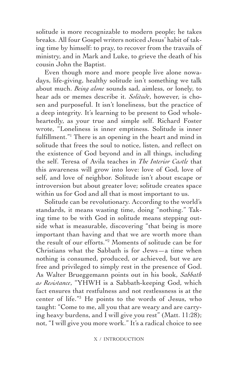solitude is more recognizable to modern people; he takes breaks. All four Gospel writers noticed Jesus' habit of taking time by himself: to pray, to recover from the travails of ministry, and in Mark and Luke, to grieve the death of his cousin John the Baptist.

Even though more and more people live alone nowadays, life-giving, healthy solitude isn't something we talk about much. *Being alone* sounds sad, aimless, or lonely, to hear ads or memes describe it. *Solitude*, however, is chosen and purposeful. It isn't loneliness, but the practice of a deep integrity. It's learning to be present to God wholeheartedly, as your true and simple self. Richard Foster wrote, "Loneliness is inner emptiness. Solitude is inner fulfillment."1 There is an opening in the heart and mind in solitude that frees the soul to notice, listen, and reflect on the existence of God beyond and in all things, including the self. Teresa of Avila teaches in *The Interior Castle* that this awareness will grow into love: love of God, love of self, and love of neighbor. Solitude isn't about escape or introversion but about greater love; solitude creates space within us for God and all that is most important to us.

Solitude can be revolutionary. According to the world's standards, it means wasting time, doing "nothing." Taking time to be with God in solitude means stepping outside what is measurable, discovering "that being is more important than having and that we are worth more than the result of our efforts."2 Moments of solitude can be for Christians what the Sabbath is for Jews—a time when nothing is consumed, produced, or achieved, but we are free and privileged to simply rest in the presence of God. As Walter Brueggemann points out in his book, *Sabbath as Resistance*, "YHWH is a Sabbath-keeping God, which fact ensures that restfulness and not restlessness is at the center of life."3 He points to the words of Jesus, who taught: "Come to me, all you that are weary and are carrying heavy burdens, and I will give you rest" (Matt. 11:28); not, "I will give you more work." It's a radical choice to see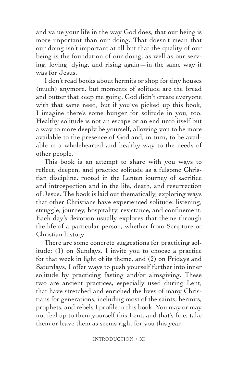and value your life in the way God does, that our being is more important than our doing. That doesn't mean that our doing isn't important at all but that the quality of our being is the foundation of our doing, as well as our serving, loving, dying, and rising again—in the same way it was for Jesus.

I don't read books about hermits or shop for tiny houses (much) anymore, but moments of solitude are the bread and butter that keep me going. God didn't create everyone with that same need, but if you've picked up this book, I imagine there's some hunger for solitude in you, too. Healthy solitude is not an escape or an end unto itself but a way to more deeply be yourself, allowing you to be more available to the presence of God and, in turn, to be available in a wholehearted and healthy way to the needs of other people.

This book is an attempt to share with you ways to reflect, deepen, and practice solitude as a fulsome Christian discipline, rooted in the Lenten journey of sacrifice and introspection and in the life, death, and resurrection of Jesus. The book is laid out thematically, exploring ways that other Christians have experienced solitude: listening, struggle, journey, hospitality, resistance, and confinement. Each day's devotion usually explores that theme through the life of a particular person, whether from Scripture or Christian history.

There are some concrete suggestions for practicing solitude: (1) on Sundays, I invite you to choose a practice for that week in light of its theme, and (2) on Fridays and Saturdays, I offer ways to push yourself further into inner solitude by practicing fasting and/or almsgiving. These two are ancient practices, especially used during Lent, that have stretched and enriched the lives of many Christians for generations, including most of the saints, hermits, prophets, and rebels I profile in this book. You may or may not feel up to them yourself this Lent, and that's fine; take them or leave them as seems right for you this year.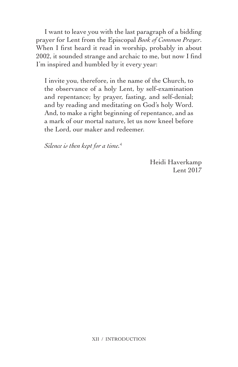I want to leave you with the last paragraph of a bidding prayer for Lent from the Episcopal *Book of Common Prayer*. When I first heard it read in worship, probably in about 2002, it sounded strange and archaic to me, but now I find I'm inspired and humbled by it every year:

I invite you, therefore, in the name of the Church, to the observance of a holy Lent, by self-examination and repentance; by prayer, fasting, and self-denial; and by reading and meditating on God's holy Word. And, to make a right beginning of repentance, and as a mark of our mortal nature, let us now kneel before the Lord, our maker and redeemer.

*Silence is then kept for a time.*<sup>4</sup>

Heidi Haverkamp Lent 2017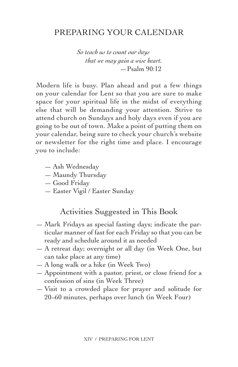# PREPARING YOUR CALENDAR

*So teach us to count our days that we may gain a wise heart.* —Psalm 90:12

Modern life is busy. Plan ahead and put a few things on your calendar for Lent so that you are sure to make space for your spiritual life in the midst of everything else that will be demanding your attention. Strive to attend church on Sundays and holy days even if you are going to be out of town. Make a point of putting them on your calendar, being sure to check your church's website or newsletter for the right time and place. I encourage you to include:

- Ash Wednesday
- Maundy Thursday
- Good Friday
- Easter Vigil / Easter Sunday

#### Activities Suggested in This Book

- Mark Fridays as special fasting days; indicate the particular manner of fast for each Friday so that you can be ready and schedule around it as needed
- A retreat day; overnight or all day (in Week One, but can take place at any time)
- A long walk or a hike (in Week Two)
- Appointment with a pastor, priest, or close friend for a confession of sins (in Week Three)
- Visit to a crowded place for prayer and solitude for 20–60 minutes, perhaps over lunch (in Week Four)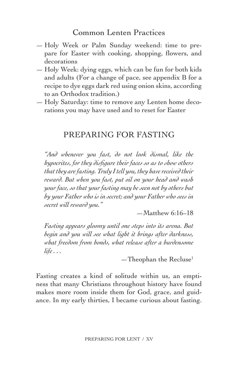# Common Lenten Practices

- Holy Week or Palm Sunday weekend: time to prepare for Easter with cooking, shopping, flowers, and decorations
- Holy Week: dying eggs, which can be fun for both kids and adults (For a change of pace, see appendix B for a recipe to dye eggs dark red using onion skins, according to an Orthodox tradition.)
- Holy Saturday: time to remove any Lenten home decorations you may have used and to reset for Easter

# PREPARING FOR FASTING

*"And whenever you fast, do not look dismal, like the hypocrites, for they disfigure their faces so as to show others that they are fasting. Truly I tell you, they have received their reward. But when you fast, put oil on your head and wash your face, so that your fasting may be seen not by others but by your Father who is in secret; and your Father who sees in secret will reward you."*

—Matthew 6:16–18

*Fasting appears gloomy until one steps into its arena. But begin and you will see what light it brings after darkness, what freedom from bonds, what release after a burdensome life . . .* 

 $-$ Theophan the Recluse<sup>1</sup>

Fasting creates a kind of solitude within us, an emptiness that many Christians throughout history have found makes more room inside them for God, grace, and guidance. In my early thirties, I became curious about fasting.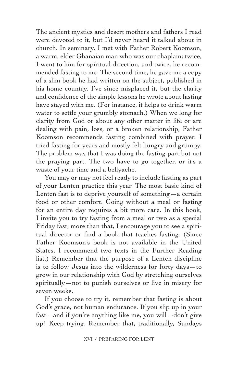The ancient mystics and desert mothers and fathers I read were devoted to it, but I'd never heard it talked about in church. In seminary, I met with Father Robert Koomson, a warm, elder Ghanaian man who was our chaplain; twice, I went to him for spiritual direction, and twice, he recommended fasting to me. The second time, he gave me a copy of a slim book he had written on the subject, published in his home country. I've since misplaced it, but the clarity and confidence of the simple lessons he wrote about fasting have stayed with me. (For instance, it helps to drink warm water to settle your grumbly stomach.) When we long for clarity from God or about any other matter in life or are dealing with pain, loss, or a broken relationship, Father Koomson recommends fasting combined with prayer. I tried fasting for years and mostly felt hungry and grumpy. The problem was that I was doing the fasting part but not the praying part. The two have to go together, or it's a waste of your time and a bellyache.

You may or may not feel ready to include fasting as part of your Lenten practice this year. The most basic kind of Lenten fast is to deprive yourself of something—a certain food or other comfort. Going without a meal or fasting for an entire day requires a bit more care. In this book, I invite you to try fasting from a meal or two as a special Friday fast; more than that, I encourage you to see a spiritual director or find a book that teaches fasting. (Since Father Koomson's book is not available in the United States, I recommend two texts in the Further Reading list.) Remember that the purpose of a Lenten discipline is to follow Jesus into the wilderness for forty days—to grow in our relationship with God by stretching ourselves spiritually—not to punish ourselves or live in misery for seven weeks.

If you choose to try it, remember that fasting is about God's grace, not human endurance. If you slip up in your fast—and if you're anything like me, you will—don't give up! Keep trying. Remember that, traditionally, Sundays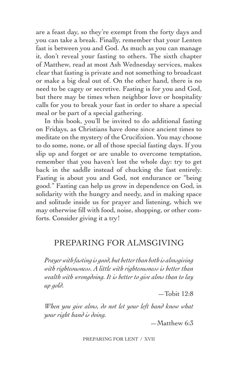are a feast day, so they're exempt from the forty days and you can take a break. Finally, remember that your Lenten fast is between you and God. As much as you can manage it, don't reveal your fasting to others. The sixth chapter of Matthew, read at most Ash Wednesday services, makes clear that fasting is private and not something to broadcast or make a big deal out of. On the other hand, there is no need to be cagey or secretive. Fasting is for you and God, but there may be times when neighbor love or hospitality calls for you to break your fast in order to share a special meal or be part of a special gathering.

In this book, you'll be invited to do additional fasting on Fridays, as Christians have done since ancient times to meditate on the mystery of the Crucifixion. You may choose to do some, none, or all of those special fasting days. If you slip up and forget or are unable to overcome temptation, remember that you haven't lost the whole day: try to get back in the saddle instead of chucking the fast entirely. Fasting is about you and God, not endurance or "being good." Fasting can help us grow in dependence on God, in solidarity with the hungry and needy, and in making space and solitude inside us for prayer and listening, which we may otherwise fill with food, noise, shopping, or other comforts. Consider giving it a try!

# PREPARING FOR ALMSGIVING

*Prayer with fasting is good, but better than both is almsgiving with righteousness. A little with righteousness is better than wealth with wrongdoing. It is better to give alms than to lay up gold.*

—Tobit 12:8

*When you give alms, do not let your left hand know what your right hand is doing.* 

 $-M$ atthew 6:3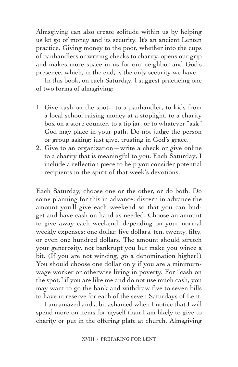Almsgiving can also create solitude within us by helping us let go of money and its security. It's an ancient Lenten practice. Giving money to the poor, whether into the cups of panhandlers or writing checks to charity, opens our grip and makes more space in us for our neighbor and God's presence, which, in the end, is the only security we have.

In this book, on each Saturday, I suggest practicing one of two forms of almsgiving:

- 1. Give cash on the spot—to a panhandler, to kids from a local school raising money at a stoplight, to a charity box on a store counter, to a tip jar, or to whatever "ask" God may place in your path. Do not judge the person or group asking; just give, trusting in God's grace.
- 2. Give to an organization—write a check or give online to a charity that is meaningful to you. Each Saturday, I include a reflection piece to help you consider potential recipients in the spirit of that week's devotions.

Each Saturday, choose one or the other, or do both. Do some planning for this in advance: discern in advance the amount you'll give each weekend so that you can budget and have cash on hand as needed. Choose an amount to give away each weekend, depending on your normal weekly expenses: one dollar, five dollars, ten, twenty, fifty, or even one hundred dollars. The amount should stretch your generosity, not bankrupt you but make you wince a bit. (If you are not wincing, go a denomination higher!) You should choose one dollar only if you are a minimumwage worker or otherwise living in poverty. For "cash on the spot," if you are like me and do not use much cash, you may want to go the bank and withdraw five to seven bills to have in reserve for each of the seven Saturdays of Lent.

I am amazed and a bit ashamed when I notice that I will spend more on items for myself than I am likely to give to charity or put in the offering plate at church. Almsgiving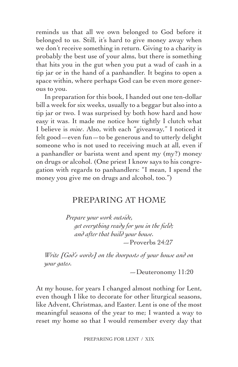reminds us that all we own belonged to God before it belonged to us. Still, it's hard to give money away when we don't receive something in return. Giving to a charity is probably the best use of your alms, but there is something that hits you in the gut when you put a wad of cash in a tip jar or in the hand of a panhandler. It begins to open a space within, where perhaps God can be even more generous to you.

In preparation for this book, I handed out one ten-dollar bill a week for six weeks, usually to a beggar but also into a tip jar or two. I was surprised by both how hard and how easy it was. It made me notice how tightly I clutch what I believe is *mine*. Also, with each "giveaway," I noticed it felt good—even fun—to be generous and to utterly delight someone who is not used to receiving much at all, even if a panhandler or barista went and spent my (my?) money on drugs or alcohol. (One priest I know says to his congregation with regards to panhandlers: "I mean, I spend the money you give me on drugs and alcohol, too.")

#### PREPARING AT HOME

*Prepare your work outside, get everything ready for you in the field; and after that build your house.* —Proverbs 24:27

*Write [God's words] on the doorposts of your house and on your gates.*

—Deuteronomy 11:20

At my house, for years I changed almost nothing for Lent, even though I like to decorate for other liturgical seasons, like Advent, Christmas, and Easter. Lent is one of the most meaningful seasons of the year to me; I wanted a way to reset my home so that I would remember every day that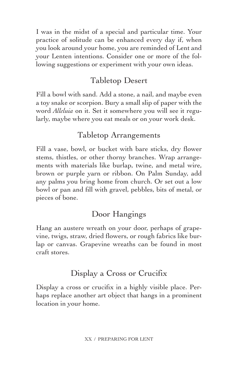I was in the midst of a special and particular time. Your practice of solitude can be enhanced every day if, when you look around your home, you are reminded of Lent and your Lenten intentions. Consider one or more of the following suggestions or experiment with your own ideas.

# Tabletop Desert

Fill a bowl with sand. Add a stone, a nail, and maybe even a toy snake or scorpion. Bury a small slip of paper with the word *Alleluia* on it. Set it somewhere you will see it regularly, maybe where you eat meals or on your work desk.

# Tabletop Arrangements

Fill a vase, bowl, or bucket with bare sticks, dry flower stems, thistles, or other thorny branches. Wrap arrangements with materials like burlap, twine, and metal wire, brown or purple yarn or ribbon. On Palm Sunday, add any palms you bring home from church. Or set out a low bowl or pan and fill with gravel, pebbles, bits of metal, or pieces of bone.

# Door Hangings

Hang an austere wreath on your door, perhaps of grapevine, twigs, straw, dried flowers, or rough fabrics like burlap or canvas. Grapevine wreaths can be found in most craft stores.

# Display a Cross or Crucifix

Display a cross or crucifix in a highly visible place. Perhaps replace another art object that hangs in a prominent location in your home.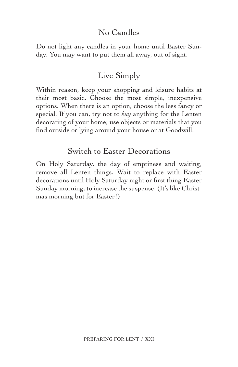# No Candles

Do not light any candles in your home until Easter Sunday. You may want to put them all away, out of sight.

# Live Simply

Within reason, keep your shopping and leisure habits at their most basic. Choose the most simple, inexpensive options. When there is an option, choose the less fancy or special. If you can, try not to *buy* anything for the Lenten decorating of your home; use objects or materials that you find outside or lying around your house or at Goodwill.

# Switch to Easter Decorations

On Holy Saturday, the day of emptiness and waiting, remove all Lenten things. Wait to replace with Easter decorations until Holy Saturday night or first thing Easter Sunday morning, to increase the suspense. (It's like Christmas morning but for Easter!)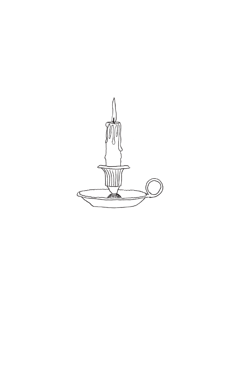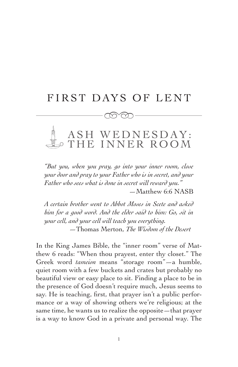# FIRST DAYS OF LENT

# ASH WEDNESDAY: THE INNER ROOM

*"But you, when you pray, go into your inner room, close your door and pray to your Father who is in secret, and your Father who sees what is done in secret will reward you."* —Matthew 6:6 NASB

*A certain brother went to Abbot Moses in Scete and asked him for a good word. And the elder said to him: Go, sit in your cell, and your cell will teach you everything.* —Thomas Merton, *The Wisdom of the Desert*

In the King James Bible, the "inner room" verse of Matthew 6 reads: "When thou prayest, enter thy closet." The Greek word *tameion* means "storage room"—a humble, quiet room with a few buckets and crates but probably no beautiful view or easy place to sit. Finding a place to be in the presence of God doesn't require much, Jesus seems to say. He is teaching, first, that prayer isn't a public performance or a way of showing others we're religious; at the same time, he wants us to realize the opposite—that prayer is a way to know God in a private and personal way. The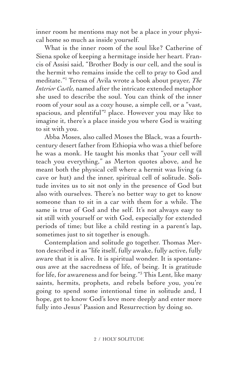inner room he mentions may not be a place in your physical home so much as inside yourself.

What is the inner room of the soul like? Catherine of Siena spoke of keeping a hermitage inside her heart. Francis of Assisi said, "Brother Body is our cell, and the soul is the hermit who remains inside the cell to pray to God and meditate."1 Teresa of Avila wrote a book about prayer, *The Interior Castle,* named after the intricate extended metaphor she used to describe the soul. You can think of the inner room of your soul as a cozy house, a simple cell, or a "vast, spacious, and plentiful"2 place. However you may like to imagine it, there's a place inside you where God is waiting to sit with you.

Abba Moses, also called Moses the Black, was a fourthcentury desert father from Ethiopia who was a thief before he was a monk. He taught his monks that "your cell will teach you everything," as Merton quotes above, and he meant both the physical cell where a hermit was living (a cave or hut) and the inner, spiritual cell of solitude. Solitude invites us to sit not only in the presence of God but also with ourselves. There's no better way to get to know someone than to sit in a car with them for a while. The same is true of God and the self. It's not always easy to sit still with yourself or with God, especially for extended periods of time; but like a child resting in a parent's lap, sometimes just to sit together is enough.

Contemplation and solitude go together. Thomas Merton described it as "life itself, fully awake, fully active, fully aware that it is alive. It is spiritual wonder. It is spontaneous awe at the sacredness of life, of being. It is gratitude for life, for awareness and for being."3 This Lent, like many saints, hermits, prophets, and rebels before you, you're going to spend some intentional time in solitude and, I hope, get to know God's love more deeply and enter more fully into Jesus' Passion and Resurrection by doing so.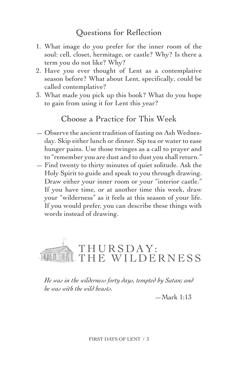# Questions for Reflection

- 1. What image do you prefer for the inner room of the soul: cell, closet, hermitage, or castle? Why? Is there a term you do not like? Why?
- 2. Have you ever thought of Lent as a contemplative season before? What about Lent, specifically, could be called contemplative?
- 3. What made you pick up this book? What do you hope to gain from using it for Lent this year?

#### Choose a Practice for This Week

- Observe the ancient tradition of fasting on Ash Wednesday. Skip either lunch or dinner. Sip tea or water to ease hunger pains. Use those twinges as a call to prayer and to "remember you are dust and to dust you shall return."
- Find twenty to thirty minutes of quiet solitude. Ask the Holy Spirit to guide and speak to you through drawing. Draw either your inner room or your "interior castle." If you have time, or at another time this week, draw your "wilderness" as it feels at this season of your life. If you would prefer, you can describe these things with words instead of drawing.



*He was in the wilderness forty days, tempted by Satan; and he was with the wild beasts.*

—Mark 1:13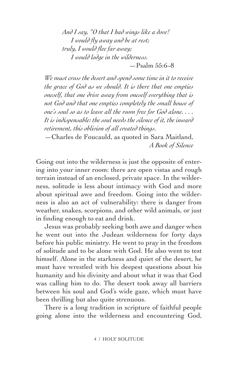*And I say, "O that I had wings like a dove! I would fly away and be at rest; truly, I would flee far away; I would lodge in the wilderness.*  $-$ Psalm 55:6–8

*We must cross the desert and spend some time in it to receive the grace of God as we should. It is there that one empties oneself, that one drive away from oneself everything that is not God and that one empties completely the small house of one's soul so as to leave all the room free for God alone. . . . It is indispensable: the soul needs the silence of it, the inward retirement, this oblivion of all created things.*

—Charles de Foucauld, as quoted in Sara Maitland, *A Book of Silence*

Going out into the wilderness is just the opposite of entering into your inner room: there are open vistas and rough terrain instead of an enclosed, private space. In the wilderness, solitude is less about intimacy with God and more about spiritual awe and freedom. Going into the wilderness is also an act of vulnerability: there is danger from weather, snakes, scorpions, and other wild animals, or just in finding enough to eat and drink.

Jesus was probably seeking both awe and danger when he went out into the Judean wilderness for forty days before his public ministry. He went to pray in the freedom of solitude and to be alone with God. He also went to test himself. Alone in the starkness and quiet of the desert, he must have wrestled with his deepest questions about his humanity and his divinity and about what it was that God was calling him to do. The desert took away all barriers between his soul and God's wide gaze, which must have been thrilling but also quite strenuous.

There is a long tradition in scripture of faithful people going alone into the wilderness and encountering God,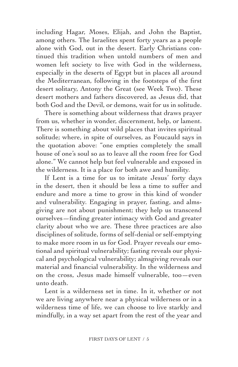including Hagar, Moses, Elijah, and John the Baptist, among others. The Israelites spent forty years as a people alone with God, out in the desert. Early Christians continued this tradition when untold numbers of men and women left society to live with God in the wilderness, especially in the deserts of Egypt but in places all around the Mediterranean, following in the footsteps of the first desert solitary, Antony the Great (see Week Two). These desert mothers and fathers discovered, as Jesus did, that both God and the Devil, or demons, wait for us in solitude.

There is something about wilderness that draws prayer from us, whether in wonder, discernment, help, or lament. There is something about wild places that invites spiritual solitude; where, in spite of ourselves, as Foucauld says in the quotation above: "one empties completely the small house of one's soul so as to leave all the room free for God alone." We cannot help but feel vulnerable and exposed in the wilderness. It is a place for both awe and humility.

If Lent is a time for us to imitate Jesus' forty days in the desert, then it should be less a time to suffer and endure and more a time to grow in this kind of wonder and vulnerability. Engaging in prayer, fasting, and almsgiving are not about punishment; they help us transcend ourselves—finding greater intimacy with God and greater clarity about who we are. These three practices are also disciplines of solitude, forms of self-denial or self-emptying to make more room in us for God. Prayer reveals our emotional and spiritual vulnerability; fasting reveals our physical and psychological vulnerability; almsgiving reveals our material and financial vulnerability. In the wilderness and on the cross, Jesus made himself vulnerable, too—even unto death.

Lent is a wilderness set in time. In it, whether or not we are living anywhere near a physical wilderness or in a wilderness time of life, we can choose to live starkly and mindfully, in a way set apart from the rest of the year and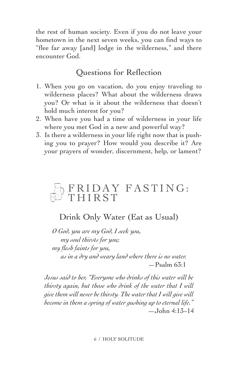the rest of human society. Even if you do not leave your hometown in the next seven weeks, you can find ways to "flee far away [and] lodge in the wilderness," and there encounter God.

# Questions for Reflection

- 1. When you go on vacation, do you enjoy traveling to wilderness places? What about the wilderness draws you? Or what is it about the wilderness that doesn't hold much interest for you?
- 2. When have you had a time of wilderness in your life where you met God in a new and powerful way?
- 3. Is there a wilderness in your life right now that is pushing you to prayer? How would you describe it? Are your prayers of wonder, discernment, help, or lament?

# FRIDAY FASTING: THIRST

#### Drink Only Water (Eat as Usual)

*O God, you are my God, I seek you, my soul thirsts for you; my flesh faints for you, as in a dry and weary land where there is no water.*  $-P_{\text{salm}}$  63:1

*Jesus said to her, "Everyone who drinks of this water will be thirsty again, but those who drink of the water that I will give them will never be thirsty. The water that I will give will become in them a spring of water gushing up to eternal life."* —John 4:13–14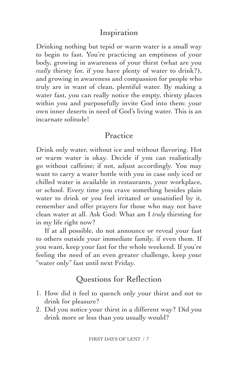# Inspiration

Drinking nothing but tepid or warm water is a small way to begin to fast. You're practicing an emptiness of your body, growing in awareness of your thirst (what are you *really* thirsty for, if you have plenty of water to drink?), and growing in awareness and compassion for people who truly are in want of clean, plentiful water. By making a water fast, you can really notice the empty, thirsty places within you and purposefully invite God into them: your own inner deserts in need of God's living water. This is an incarnate solitude!

# Practice

Drink only water, without ice and without flavoring. Hot or warm water is okay. Decide if you can realistically go without caffeine; if not, adjust accordingly. You may want to carry a water bottle with you in case only iced or chilled water is available in restaurants, your workplace, or school. Every time you crave something besides plain water to drink or you feel irritated or unsatisfied by it, remember and offer prayers for those who may not have clean water at all. Ask God: What am I *truly* thirsting for in my life right now?

If at all possible, do not announce or reveal your fast to others outside your immediate family, if even them. If you want, keep your fast for the whole weekend. If you're feeling the need of an even greater challenge, keep your "water only" fast until next Friday.

# Questions for Reflection

- 1. How did it feel to quench only your thirst and not to drink for pleasure?
- 2. Did you notice your thirst in a different way? Did you drink more or less than you usually would?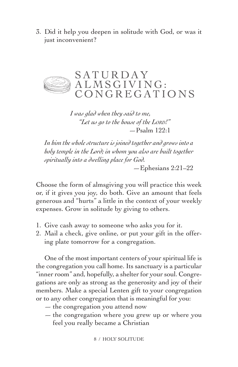3. Did it help you deepen in solitude with God, or was it just inconvenient?



*I was glad when they said to me, "Let us go to the house of the Lord!"* —Psalm 122:1

*In him the whole structure is joined together and grows into a holy temple in the Lord; in whom you also are built together spiritually into a dwelling place for God.*

—Ephesians 2:21–22

Choose the form of almsgiving you will practice this week or, if it gives you joy, do both. Give an amount that feels generous and "hurts" a little in the context of your weekly expenses. Grow in solitude by giving to others.

- 1. Give cash away to someone who asks you for it.
- 2. Mail a check, give online, or put your gift in the offering plate tomorrow for a congregation.

One of the most important centers of your spiritual life is the congregation you call home. Its sanctuary is a particular "inner room" and, hopefully, a shelter for your soul. Congregations are only as strong as the generosity and joy of their members. Make a special Lenten gift to your congregation or to any other congregation that is meaningful for you:

- the congregation you attend now
- the congregation where you grew up or where you feel you really became a Christian